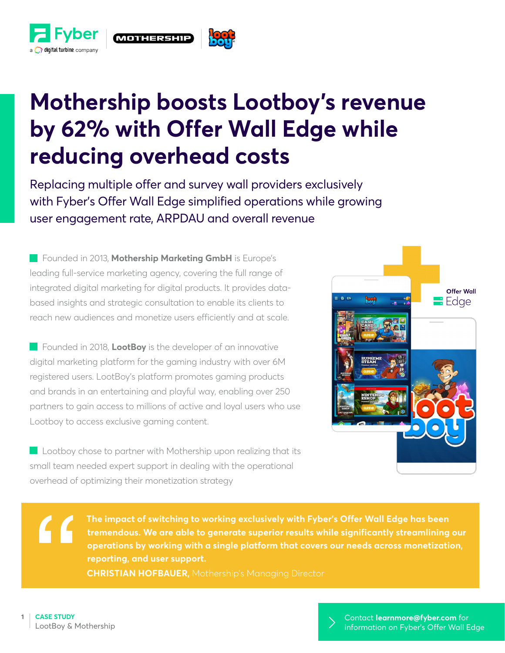



## **Mothership boosts Lootboy's revenue by 62% with Offer Wall Edge while reducing overhead costs**

Replacing multiple offer and survey wall providers exclusively with Fyber's Offer Wall Edge simplified operations while growing user engagement rate, ARPDAU and overall revenue

**Founded in 2013, Mothership Marketing GmbH** is Europe's leading full-service marketing agency, covering the full range of integrated digital marketing for digital products. It provides databased insights and strategic consultation to enable its clients to reach new audiences and monetize users efficiently and at scale.

**Founded in 2018, LootBoy** is the developer of an innovative digital marketing platform for the gaming industry with over 6M registered users. LootBoy's platform promotes gaming products and brands in an entertaining and playful way, enabling over 250 partners to gain access to millions of active and loyal users who use Lootboy to access exclusive gaming content.

Lootboy chose to partner with Mothership upon realizing that its small team needed expert support in dealing with the operational overhead of optimizing their monetization strategy



**The impact of switching to working exclusively with Fyber's Offer Wall Edge has been tremendous. We are able to generate superior results while significantly streamlining our operations by working with a single platform that covers our needs across monetization, reporting, and user support. CHRISTIAN HOFBAUER,** Mothership's Managing Director